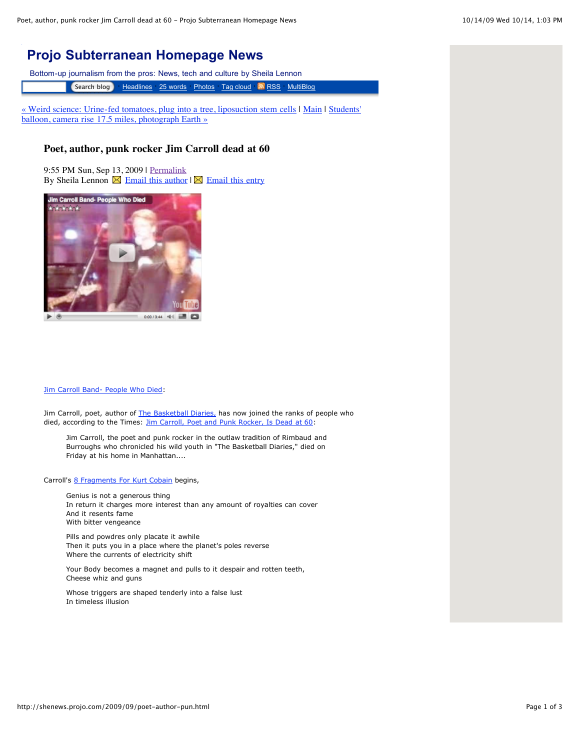## **[Projo Subterranean Homepage News](http://shenews.projo.com/)**

Bottom-up journalism from the pros: News, tech and culture by Sheila Lennon

**Search blog · [Headlines](http://shenews.projo.com/latest.html) [25 words](http://shenews.projo.com/index2.html) [Photos](http://shenews.projo.com/photos.html) [Tag cloud](http://shenews.projo.com/tagcloud.html)• [RSS](http://shenews.projo.com/index.xml) [MultiBlog](http://riverofnews.projo.com/)** 

[« Weird science: Urine-fed tomatoes, plug into a tree, liposuction stem cells](http://shenews.projo.com/2009/09/weird-science-u.html) [|](http://shenews.projo.com/2009/09/students-balloo.html) [Mai](http://shenews.projo.com/)[n | Students'](http://shenews.projo.com/2009/09/students-balloo.html) balloon, camera rise 17.5 miles, photograph Earth »

## **Poet, author, punk rocker Jim Carroll dead at 60**

9:55 PM Sun, Sep 13, 2009 | [Permalink](http://shenews.projo.com/2009/09/poet-author-pun.html) By Sheila Lennon  $\boxtimes$  [Email this author](mailto:lennon@projo.com,lennon2@cox.net)  $\boxtimes$  [Email this entry](mailto:?subject=Check%20out%20Projo%20Subterranean%20Homepage%20News:%20Poet,%20author,%20punk%20rocker%20Jim%20Carroll%20dead%20at%2060&body=Go%20to%20http://shenews.projo.com/2009/09/poet-author-pun.html)



## [Jim Carroll Band- People Who Died:](http://www.youtube.com/watch?v=lBbuPnfG0Vo)

Jim Carroll, poet, author of [The Basketball Diaries,](http://www.amazon.com/Basketball-Diaries-Jim-Carroll/dp/0140100180) has now joined the ranks of people who died, according to the Times: [Jim Carroll, Poet and Punk Rocker, Is Dead at 60:](http://www.nytimes.com/2009/09/14/books/14carroll.html)

Jim Carroll, the poet and punk rocker in the outlaw tradition of Rimbaud and Burroughs who chronicled his wild youth in "The Basketball Diaries," died on Friday at his home in Manhattan....

Carroll's [8 Fragments For Kurt Cobain](http://www.poemhunter.com/poem/8-fragments-for-kurt-cobain/) begins,

Genius is not a generous thing In return it charges more interest than any amount of royalties can cover And it resents fame With bitter vengeance

Pills and powdres only placate it awhile Then it puts you in a place where the planet's poles reverse Where the currents of electricity shift

Your Body becomes a magnet and pulls to it despair and rotten teeth, Cheese whiz and guns

Whose triggers are shaped tenderly into a false lust In timeless illusion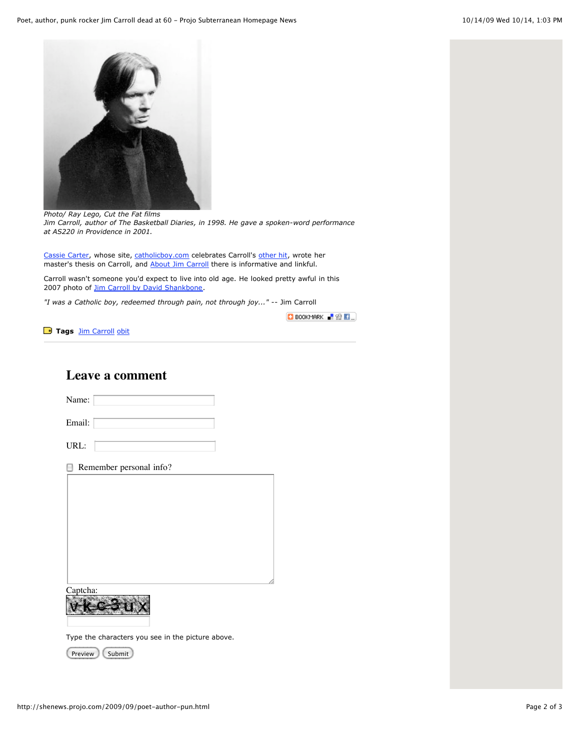

*Photo/ Ray Lego, Cut the Fat films Jim Carroll, author of The Basketball Diaries, in 1998. He gave a spoken-word performance at AS220 in Providence in 2001.*

[Cassie Carter,](http://www.catholicboy.com/cassie.php) whose site, [catholicboy.com](http://www.catholicboy.com/) celebrates Carroll's [other hit,](http://www.youtube.com/watch?v=pdftnLhRCuQ) wrote her master's thesis on Carroll, and [About Jim Carroll](http://www.catholicboy.com/intro.php) there is informative and linkful.

Carroll wasn't someone you'd expect to live into old age. He looked pretty awful in this 2007 photo of [Jim Carroll by David Shankbone](http://commons.wikimedia.org/wiki/File:Jim_Carroll_by_David_Shankbone.jpg).

*"I was a Catholic boy, redeemed through pain, not through joy..."* -- Jim Carroll

BOOKMARK **F** SQ **F** 

**Tags [Jim Carroll](http://news.beloblog.com/cgi-bin/mt/mt-search.cgi?blog_id=758&tag=Jim%20Carroll&limit=20)** [obit](http://news.beloblog.com/cgi-bin/mt/mt-search.cgi?blog_id=758&tag=obit&limit=20)

Name:

**Leave a comment**

| Email:                       |
|------------------------------|
| URL:                         |
| Remember personal info?<br>ы |
|                              |
|                              |
|                              |
| Captcha:                     |

Type the characters you see in the picture above.